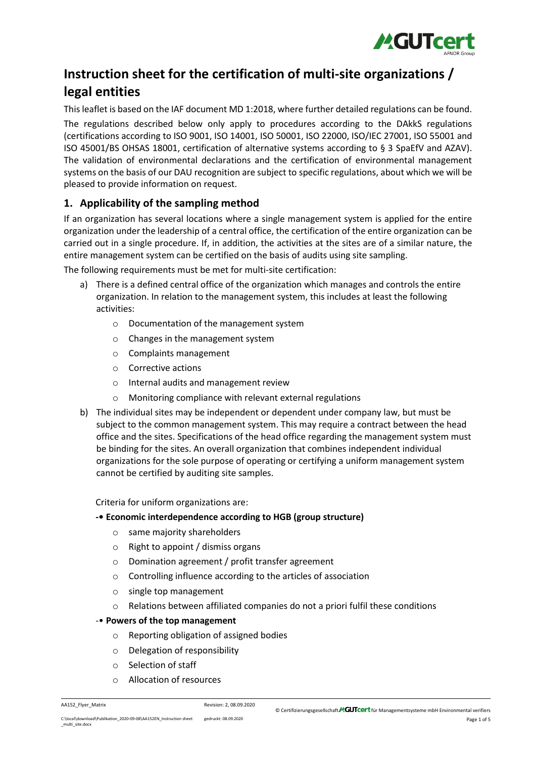

# **Instruction sheet for the certification of multi-site organizations / legal entities**

This leaflet is based on the IAF document MD 1:2018, where further detailed regulations can be found. The regulations described below only apply to procedures according to the DAkkS regulations (certifications according to ISO 9001, ISO 14001, ISO 50001, ISO 22000, ISO/IEC 27001, ISO 55001 and ISO 45001/BS OHSAS 18001, certification of alternative systems according to § 3 SpaEfV and AZAV). The validation of environmental declarations and the certification of environmental management systems on the basis of our DAU recognition are subject to specific regulations, about which we will be pleased to provide information on request.

# <span id="page-0-0"></span>**1. Applicability of the sampling method**

If an organization has several locations where a single management system is applied for the entire organization under the leadership of a central office, the certification of the entire organization can be carried out in a single procedure. If, in addition, the activities at the sites are of a similar nature, the entire management system can be certified on the basis of audits using site sampling.

The following requirements must be met for multi-site certification:

- a) There is a defined central office of the organization which manages and controls the entire organization. In relation to the management system, this includes at least the following activities:
	- o Documentation of the management system
	- o Changes in the management system
	- o Complaints management
	- o Corrective actions
	- o Internal audits and management review
	- o Monitoring compliance with relevant external regulations
- b) The individual sites may be independent or dependent under company law, but must be subject to the common management system. This may require a contract between the head office and the sites. Specifications of the head office regarding the management system must be binding for the sites. An overall organization that combines independent individual organizations for the sole purpose of operating or certifying a uniform management system cannot be certified by auditing site samples.

Criteria for uniform organizations are:

## **-• Economic interdependence according to HGB (group structure)**

- o same majority shareholders
- o Right to appoint / dismiss organs
- o Domination agreement / profit transfer agreement
- o Controlling influence according to the articles of association
- o single top management
- $\circ$  Relations between affiliated companies do not a priori fulfil these conditions

## -• **Powers of the top management**

- o Reporting obligation of assigned bodies
- o Delegation of responsibility
- o Selection of staff
- o Allocation of resources

AA152\_Flyer\_Matrix Revision: 2, 08.09.2020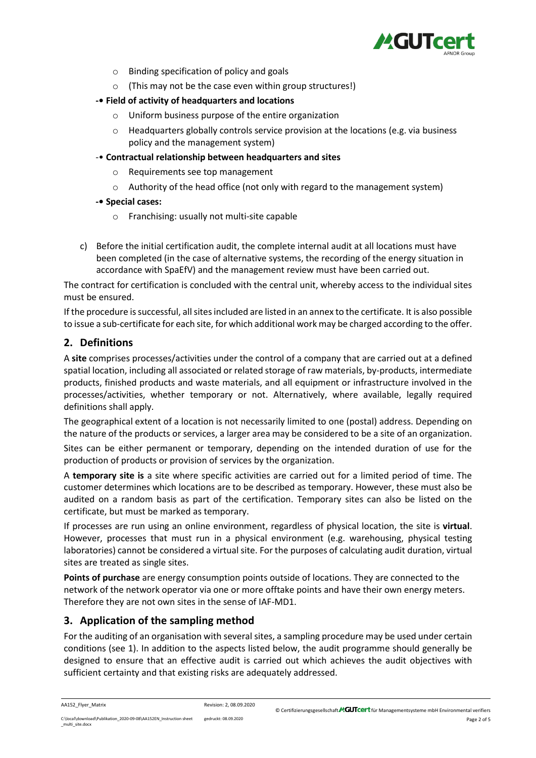

- o Binding specification of policy and goals
- o (This may not be the case even within group structures!)
- **-• Field of activity of headquarters and locations**
	- o Uniform business purpose of the entire organization
	- $\circ$  Headquarters globally controls service provision at the locations (e.g. via business policy and the management system)
- -• **Contractual relationship between headquarters and sites**
	- o Requirements see top management
	- o Authority of the head office (not only with regard to the management system)
- **-• Special cases:**
	- o Franchising: usually not multi-site capable
- c) Before the initial certification audit, the complete internal audit at all locations must have been completed (in the case of alternative systems, the recording of the energy situation in accordance with SpaEfV) and the management review must have been carried out.

The contract for certification is concluded with the central unit, whereby access to the individual sites must be ensured.

If the procedure is successful, all sites included are listed in an annex to the certificate. It is also possible to issue a sub-certificate for each site, for which additional work may be charged according to the offer.

# **2. Definitions**

A **site** comprises processes/activities under the control of a company that are carried out at a defined spatial location, including all associated or related storage of raw materials, by-products, intermediate products, finished products and waste materials, and all equipment or infrastructure involved in the processes/activities, whether temporary or not. Alternatively, where available, legally required definitions shall apply.

The geographical extent of a location is not necessarily limited to one (postal) address. Depending on the nature of the products or services, a larger area may be considered to be a site of an organization.

Sites can be either permanent or temporary, depending on the intended duration of use for the production of products or provision of services by the organization.

A **temporary site is** a site where specific activities are carried out for a limited period of time. The customer determines which locations are to be described as temporary. However, these must also be audited on a random basis as part of the certification. Temporary sites can also be listed on the certificate, but must be marked as temporary.

If processes are run using an online environment, regardless of physical location, the site is **virtual**. However, processes that must run in a physical environment (e.g. warehousing, physical testing laboratories) cannot be considered a virtual site. For the purposes of calculating audit duration, virtual sites are treated as single sites.

**Points of purchase** are energy consumption points outside of locations. They are connected to the network of the network operator via one or more offtake points and have their own energy meters. Therefore they are not own sites in the sense of IAF-MD1.

# <span id="page-1-0"></span>**3. Application of the sampling method**

For the auditing of an organisation with several sites, a sampling procedure may be used under certain conditions (see [1\)](#page-0-0). In addition to the aspects listed below, the audit programme should generally be designed to ensure that an effective audit is carried out which achieves the audit objectives with sufficient certainty and that existing risks are adequately addressed.

```
C:\local\download\Publikation_2020-09-08\AA152EN_Instruction sheet 
_multi_site.docx
```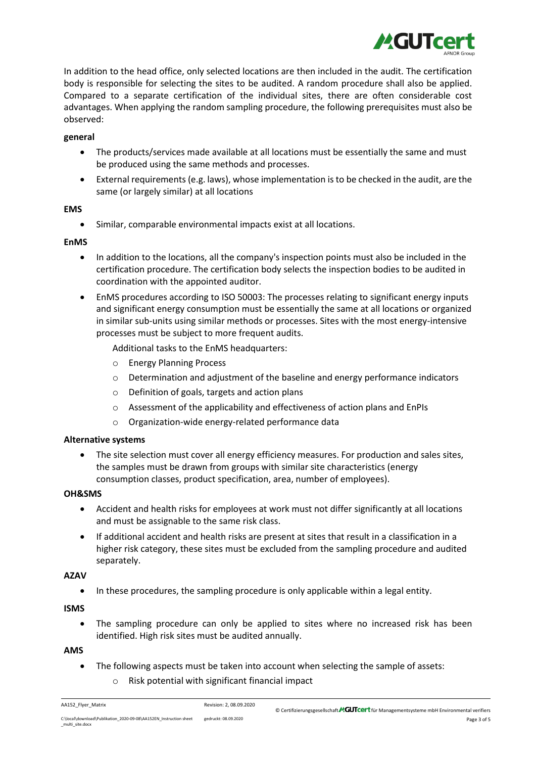

In addition to the head office, only selected locations are then included in the audit. The certification body is responsible for selecting the sites to be audited. A random procedure shall also be applied. Compared to a separate certification of the individual sites, there are often considerable cost advantages. When applying the random sampling procedure, the following prerequisites must also be observed:

## **general**

- The products/services made available at all locations must be essentially the same and must be produced using the same methods and processes.
- External requirements (e.g. laws), whose implementation is to be checked in the audit, are the same (or largely similar) at all locations

## **EMS**

• Similar, comparable environmental impacts exist at all locations.

## **EnMS**

- In addition to the locations, all the company's inspection points must also be included in the certification procedure. The certification body selects the inspection bodies to be audited in coordination with the appointed auditor.
- EnMS procedures according to ISO 50003: The processes relating to significant energy inputs and significant energy consumption must be essentially the same at all locations or organized in similar sub-units using similar methods or processes. Sites with the most energy-intensive processes must be subject to more frequent audits.

Additional tasks to the EnMS headquarters:

- o Energy Planning Process
- $\circ$  Determination and adjustment of the baseline and energy performance indicators
- o Definition of goals, targets and action plans
- o Assessment of the applicability and effectiveness of action plans and EnPIs
- o Organization-wide energy-related performance data

## **Alternative systems**

• The site selection must cover all energy efficiency measures. For production and sales sites, the samples must be drawn from groups with similar site characteristics (energy consumption classes, product specification, area, number of employees).

## **OH&SMS**

- Accident and health risks for employees at work must not differ significantly at all locations and must be assignable to the same risk class.
- If additional accident and health risks are present at sites that result in a classification in a higher risk category, these sites must be excluded from the sampling procedure and audited separately.

## **AZAV**

• In these procedures, the sampling procedure is only applicable within a legal entity.

**ISMS**

• The sampling procedure can only be applied to sites where no increased risk has been identified. High risk sites must be audited annually.

## **AMS**

- The following aspects must be taken into account when selecting the sample of assets:
	- o Risk potential with significant financial impact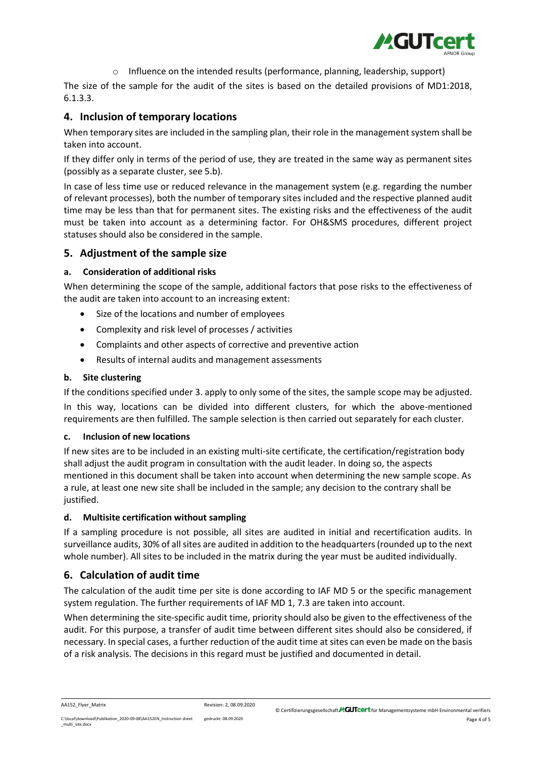

 $\circ$  Influence on the intended results (performance, planning, leadership, support)

The size of the sample for the audit of the sites is based on the detailed provisions of MD1:2018, 6.1.3.3.

# **4. Inclusion of temporary locations**

When temporary sites are included in the sampling plan, their role in the management system shall be taken into account.

If they differ only in terms of the period of use, they are treated in the same way as permanent sites (possibly as a separate cluster, se[e 5.b\)](#page-3-0).

In case of less time use or reduced relevance in the management system (e.g. regarding the number of relevant processes), both the number of temporary sites included and the respective planned audit time may be less than that for permanent sites. The existing risks and the effectiveness of the audit must be taken into account as a determining factor. For OH&SMS procedures, different project statuses should also be considered in the sample.

## **5. Adjustment of the sample size**

## **a. Consideration of additional risks**

When determining the scope of the sample, additional factors that pose risks to the effectiveness of the audit are taken into account to an increasing extent:

- Size of the locations and number of employees
- Complexity and risk level of processes / activities
- Complaints and other aspects of corrective and preventive action
- Results of internal audits and management assessments

## <span id="page-3-0"></span>**b. Site clustering**

If the conditions specified unde[r 3.](#page-1-0) apply to only some of the sites, the sample scope may be adjusted. In this way, locations can be divided into different clusters, for which the above-mentioned requirements are then fulfilled. The sample selection is then carried out separately for each cluster.

## **c. Inclusion of new locations**

If new sites are to be included in an existing multi-site certificate, the certification/registration body shall adjust the audit program in consultation with the audit leader. In doing so, the aspects mentioned in this document shall be taken into account when determining the new sample scope. As a rule, at least one new site shall be included in the sample; any decision to the contrary shall be justified.

## **d. Multisite certification without sampling**

If a sampling procedure is not possible, all sites are audited in initial and recertification audits. In surveillance audits, 30% of all sites are audited in addition to the headquarters(rounded up to the next whole number). All sites to be included in the matrix during the year must be audited individually.

## **6. Calculation of audit time**

The calculation of the audit time per site is done according to IAF MD 5 or the specific management system regulation. The further requirements of IAF MD 1, 7.3 are taken into account.

When determining the site-specific audit time, priority should also be given to the effectiveness of the audit. For this purpose, a transfer of audit time between different sites should also be considered, if necessary. In special cases, a further reduction of the audit time at sites can even be made on the basis of a risk analysis. The decisions in this regard must be justified and documented in detail.